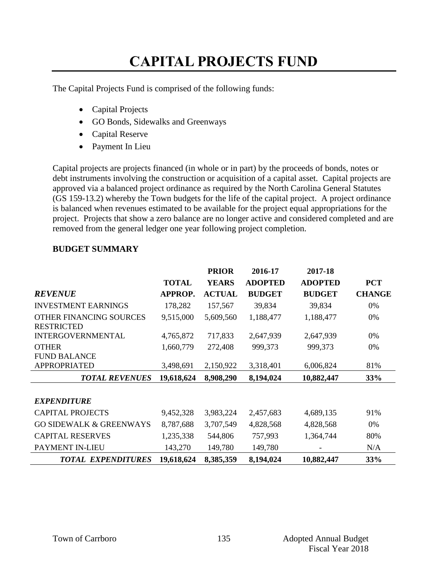# **CAPITAL PROJECTS FUND**

The Capital Projects Fund is comprised of the following funds:

- Capital Projects
- GO Bonds, Sidewalks and Greenways
- Capital Reserve
- Payment In Lieu

Capital projects are projects financed (in whole or in part) by the proceeds of bonds, notes or debt instruments involving the construction or acquisition of a capital asset. Capital projects are approved via a balanced project ordinance as required by the North Carolina General Statutes (GS 159-13.2) whereby the Town budgets for the life of the capital project. A project ordinance is balanced when revenues estimated to be available for the project equal appropriations for the project. Projects that show a zero balance are no longer active and considered completed and are removed from the general ledger one year following project completion.

|                                              |                | <b>PRIOR</b>  | 2016-17        | 2017-18        |               |
|----------------------------------------------|----------------|---------------|----------------|----------------|---------------|
|                                              | <b>TOTAL</b>   | <b>YEARS</b>  | <b>ADOPTED</b> | <b>ADOPTED</b> | <b>PCT</b>    |
| <b>REVENUE</b>                               | <b>APPROP.</b> | <b>ACTUAL</b> | <b>BUDGET</b>  | <b>BUDGET</b>  | <b>CHANGE</b> |
| <b>INVESTMENT EARNINGS</b>                   | 178,282        | 157,567       | 39,834         | 39,834         | 0%            |
| OTHER FINANCING SOURCES<br><b>RESTRICTED</b> | 9,515,000      | 5,609,560     | 1,188,477      | 1,188,477      | 0%            |
| <b>INTERGOVERNMENTAL</b>                     | 4,765,872      | 717,833       | 2,647,939      | 2,647,939      | 0%            |
| <b>OTHER</b>                                 | 1,660,779      | 272,408       | 999,373        | 999,373        | 0%            |
| <b>FUND BALANCE</b>                          |                |               |                |                |               |
| <b>APPROPRIATED</b>                          | 3,498,691      | 2,150,922     | 3,318,401      | 6,006,824      | 81%           |
| <b>TOTAL REVENUES</b>                        | 19,618,624     | 8,908,290     | 8,194,024      | 10,882,447     | 33%           |
|                                              |                |               |                |                |               |
| <b>EXPENDITURE</b>                           |                |               |                |                |               |
| <b>CAPITAL PROJECTS</b>                      | 9,452,328      | 3,983,224     | 2,457,683      | 4,689,135      | 91%           |
| <b>GO SIDEWALK &amp; GREENWAYS</b>           | 8,787,688      | 3,707,549     | 4,828,568      | 4,828,568      | 0%            |
| <b>CAPITAL RESERVES</b>                      | 1,235,338      | 544,806       | 757,993        | 1,364,744      | 80%           |
| <b>PAYMENT IN-LIEU</b>                       | 143,270        | 149,780       | 149,780        |                | N/A           |
| <b>TOTAL EXPENDITURES</b>                    | 19,618,624     | 8,385,359     | 8,194,024      | 10,882,447     | 33%           |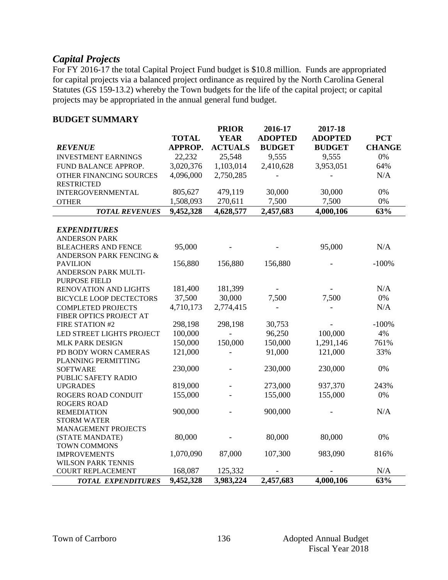## *Capital Projects*

For FY 2016-17 the total Capital Project Fund budget is \$10.8 million. Funds are appropriated for capital projects via a balanced project ordinance as required by the North Carolina General Statutes (GS 159-13.2) whereby the Town budgets for the life of the capital project; or capital projects may be appropriated in the annual general fund budget.

| <b>ADOPTED</b><br><b>ADOPTED</b><br><b>TOTAL</b><br><b>YEAR</b><br><b>PCT</b><br>APPROP.<br><b>ACTUALS</b><br><b>BUDGET</b><br><b>CHANGE</b><br><b>REVENUE</b><br><b>BUDGET</b><br>22,232<br>25,548<br>9,555<br>9,555<br>0%<br><b>INVESTMENT EARNINGS</b><br>3,020,376<br>1,103,014<br>2,410,628<br>3,953,051<br>64%<br>FUND BALANCE APPROP. |  |
|----------------------------------------------------------------------------------------------------------------------------------------------------------------------------------------------------------------------------------------------------------------------------------------------------------------------------------------------|--|
|                                                                                                                                                                                                                                                                                                                                              |  |
|                                                                                                                                                                                                                                                                                                                                              |  |
|                                                                                                                                                                                                                                                                                                                                              |  |
|                                                                                                                                                                                                                                                                                                                                              |  |
| 4,096,000<br>2,750,285<br>N/A<br>OTHER FINANCING SOURCES                                                                                                                                                                                                                                                                                     |  |
| <b>RESTRICTED</b>                                                                                                                                                                                                                                                                                                                            |  |
| 0%<br>805,627<br>479,119<br>30,000<br>30,000<br><b>INTERGOVERNMENTAL</b>                                                                                                                                                                                                                                                                     |  |
| 7,500<br>1,508,093<br>270,611<br>7,500<br>0%<br><b>OTHER</b>                                                                                                                                                                                                                                                                                 |  |
| 63%<br>9,452,328<br>4,628,577<br>2,457,683<br>4,000,106<br><b>TOTAL REVENUES</b>                                                                                                                                                                                                                                                             |  |
|                                                                                                                                                                                                                                                                                                                                              |  |
| <b>EXPENDITURES</b>                                                                                                                                                                                                                                                                                                                          |  |
| <b>ANDERSON PARK</b>                                                                                                                                                                                                                                                                                                                         |  |
| 95,000<br>N/A<br>95,000<br><b>BLEACHERS AND FENCE</b>                                                                                                                                                                                                                                                                                        |  |
| ANDERSON PARK FENCING &                                                                                                                                                                                                                                                                                                                      |  |
| 156,880<br>$-100%$<br>156,880<br>156,880<br><b>PAVILION</b>                                                                                                                                                                                                                                                                                  |  |
| ANDERSON PARK MULTI-                                                                                                                                                                                                                                                                                                                         |  |
| <b>PURPOSE FIELD</b>                                                                                                                                                                                                                                                                                                                         |  |
| N/A<br>181,400<br>181,399<br>RENOVATION AND LIGHTS                                                                                                                                                                                                                                                                                           |  |
| 37,500<br>30,000<br>7,500<br>0%<br>7,500<br><b>BICYCLE LOOP DECTECTORS</b>                                                                                                                                                                                                                                                                   |  |
| 4,710,173<br>N/A<br><b>COMPLETED PROJECTS</b><br>2,774,415                                                                                                                                                                                                                                                                                   |  |
| FIBER OPTICS PROJECT AT                                                                                                                                                                                                                                                                                                                      |  |
| 298,198<br>298,198<br>30,753<br>$-100%$<br>FIRE STATION #2                                                                                                                                                                                                                                                                                   |  |
| 96,250<br>100,000<br>4%<br>100,000<br>LED STREET LIGHTS PROJECT                                                                                                                                                                                                                                                                              |  |
| 761%<br>150,000<br>150,000<br>150,000<br>1,291,146<br><b>MLK PARK DESIGN</b>                                                                                                                                                                                                                                                                 |  |
| 91,000<br>PD BODY WORN CAMERAS<br>121,000<br>121,000<br>33%                                                                                                                                                                                                                                                                                  |  |
| PLANNING PERMITTING                                                                                                                                                                                                                                                                                                                          |  |
| 0%<br>230,000<br>230,000<br>230,000<br><b>SOFTWARE</b>                                                                                                                                                                                                                                                                                       |  |
| PUBLIC SAFETY RADIO                                                                                                                                                                                                                                                                                                                          |  |
| 937,370<br>819,000<br>273,000<br>243%<br><b>UPGRADES</b>                                                                                                                                                                                                                                                                                     |  |
| 155,000<br>0%<br>155,000<br>155,000<br>ROGERS ROAD CONDUIT                                                                                                                                                                                                                                                                                   |  |
| <b>ROGERS ROAD</b>                                                                                                                                                                                                                                                                                                                           |  |
| 900,000<br>900,000<br>N/A<br><b>REMEDIATION</b>                                                                                                                                                                                                                                                                                              |  |
| <b>STORM WATER</b>                                                                                                                                                                                                                                                                                                                           |  |
| <b>MANAGEMENT PROJECTS</b>                                                                                                                                                                                                                                                                                                                   |  |
| 80,000<br>80,000<br>80,000<br>0%<br>(STATE MANDATE)                                                                                                                                                                                                                                                                                          |  |
| <b>TOWN COMMONS</b><br>1,070,090<br>87,000<br>107,300<br>983,090<br>816%<br><b>IMPROVEMENTS</b>                                                                                                                                                                                                                                              |  |
| <b>WILSON PARK TENNIS</b>                                                                                                                                                                                                                                                                                                                    |  |
| N/A<br>168,087<br>125,332<br><b>COURT REPLACEMENT</b>                                                                                                                                                                                                                                                                                        |  |
| 2.457.683<br>4,000,106<br>63%<br>9,452,328<br>3,983,224<br><b>TOTAL EXPENDITURES</b>                                                                                                                                                                                                                                                         |  |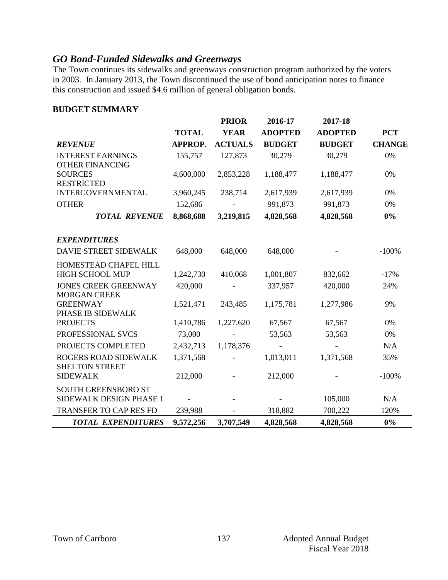## *GO Bond-Funded Sidewalks and Greenways*

The Town continues its sidewalks and greenways construction program authorized by the voters in 2003. In January 2013, the Town discontinued the use of bond anticipation notes to finance this construction and issued \$4.6 million of general obligation bonds.

|                                                       |              | <b>PRIOR</b>   | 2016-17        | 2017-18        |               |
|-------------------------------------------------------|--------------|----------------|----------------|----------------|---------------|
|                                                       | <b>TOTAL</b> | <b>YEAR</b>    | <b>ADOPTED</b> | <b>ADOPTED</b> | <b>PCT</b>    |
| <b>REVENUE</b>                                        | APPROP.      | <b>ACTUALS</b> | <b>BUDGET</b>  | <b>BUDGET</b>  | <b>CHANGE</b> |
| <b>INTEREST EARNINGS</b><br><b>OTHER FINANCING</b>    | 155,757      | 127,873        | 30,279         | 30,279         | 0%            |
| <b>SOURCES</b><br><b>RESTRICTED</b>                   | 4,600,000    | 2,853,228      | 1,188,477      | 1,188,477      | 0%            |
| <b>INTERGOVERNMENTAL</b>                              | 3,960,245    | 238,714        | 2,617,939      | 2,617,939      | 0%            |
| <b>OTHER</b>                                          | 152,686      |                | 991,873        | 991,873        | 0%            |
| <b>TOTAL REVENUE</b>                                  | 8,868,688    | 3,219,815      | 4,828,568      | 4,828,568      | $0\%$         |
| <b>EXPENDITURES</b><br>DAVIE STREET SIDEWALK          | 648,000      | 648,000        | 648,000        |                | $-100%$       |
| HOMESTEAD CHAPEL HILL<br><b>HIGH SCHOOL MUP</b>       | 1,242,730    | 410,068        | 1,001,807      | 832,662        | $-17%$        |
| <b>JONES CREEK GREENWAY</b><br><b>MORGAN CREEK</b>    | 420,000      |                | 337,957        | 420,000        | 24%           |
| <b>GREENWAY</b><br>PHASE IB SIDEWALK                  | 1,521,471    | 243,485        | 1,175,781      | 1,277,986      | 9%            |
| <b>PROJECTS</b>                                       | 1,410,786    | 1,227,620      | 67,567         | 67,567         | 0%            |
| PROFESSIONAL SVCS                                     | 73,000       |                | 53,563         | 53,563         | 0%            |
| PROJECTS COMPLETED                                    | 2,432,713    | 1,178,376      |                |                | N/A           |
| <b>ROGERS ROAD SIDEWALK</b><br><b>SHELTON STREET</b>  | 1,371,568    |                | 1,013,011      | 1,371,568      | 35%           |
| <b>SIDEWALK</b>                                       | 212,000      |                | 212,000        |                | $-100%$       |
| <b>SOUTH GREENSBORO ST</b><br>SIDEWALK DESIGN PHASE 1 |              |                |                | 105,000        | N/A           |
| <b>TRANSFER TO CAP RES FD</b>                         | 239,988      |                | 318,882        | 700,222        | 120%          |
| <b>TOTAL EXPENDITURES</b>                             | 9,572,256    | 3,707,549      | 4,828,568      | 4,828,568      | 0%            |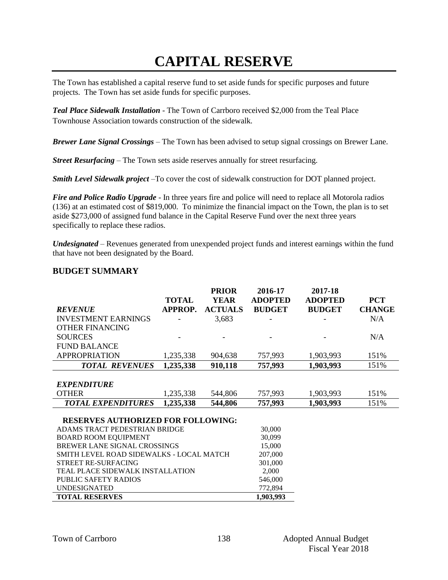# **CAPITAL RESERVE**

The Town has established a capital reserve fund to set aside funds for specific purposes and future projects. The Town has set aside funds for specific purposes.

*Teal Place Sidewalk Installation -* The Town of Carrboro received \$2,000 from the Teal Place Townhouse Association towards construction of the sidewalk*.*

*Brewer Lane Signal Crossings –* The Town has been advised to setup signal crossings on Brewer Lane.

*Street Resurfacing –* The Town sets aside reserves annually for street resurfacing.

*Smith Level Sidewalk project –*To cover the cost of sidewalk construction for DOT planned project.

*Fire and Police Radio Upgrade* - In three years fire and police will need to replace all Motorola radios (136) at an estimated cost of \$819,000. To minimize the financial impact on the Town, the plan is to set aside \$273,000 of assigned fund balance in the Capital Reserve Fund over the next three years specifically to replace these radios.

*Undesignated* – Revenues generated from unexpended project funds and interest earnings within the fund that have not been designated by the Board.

|                                           |                | <b>PRIOR</b>   | 2016-17        | 2017-18        |               |
|-------------------------------------------|----------------|----------------|----------------|----------------|---------------|
|                                           | <b>TOTAL</b>   | <b>YEAR</b>    | <b>ADOPTED</b> | <b>ADOPTED</b> | <b>PCT</b>    |
| <b>REVENUE</b>                            | <b>APPROP.</b> | <b>ACTUALS</b> | <b>BUDGET</b>  | <b>BUDGET</b>  | <b>CHANGE</b> |
| <b>INVESTMENT EARNINGS</b>                |                | 3,683          |                |                | N/A           |
| <b>OTHER FINANCING</b>                    |                |                |                |                |               |
| <b>SOURCES</b>                            |                |                |                |                | N/A           |
| <b>FUND BALANCE</b>                       |                |                |                |                |               |
| <b>APPROPRIATION</b>                      | 1,235,338      | 904,638        | 757,993        | 1,903,993      | 151%          |
| <b>TOTAL REVENUES</b>                     | 1,235,338      | 910,118        | 757,993        | 1,903,993      | 151%          |
|                                           |                |                |                |                |               |
| <b>EXPENDITURE</b>                        |                |                |                |                |               |
| <b>OTHER</b>                              | 1,235,338      | 544,806        | 757,993        | 1,903,993      | 151%          |
| <b>TOTAL EXPENDITURES</b>                 | 1,235,338      | 544,806        | 757,993        | 1,903,993      | 151%          |
|                                           |                |                |                |                |               |
| <b>RESERVES AUTHORIZED FOR FOLLOWING:</b> |                |                |                |                |               |
| ADAMS TRACT PEDESTRIAN BRIDGE             |                |                | 30,000         |                |               |
| <b>BOARD ROOM EQUIPMENT</b>               |                |                | 30,099         |                |               |
| BREWER LANE SIGNAL CROSSINGS              |                |                | 15,000         |                |               |
| SMITH LEVEL ROAD SIDEWALKS - LOCAL MATCH  |                |                | 207,000        |                |               |
| STREET RE-SURFACING                       |                |                | 301,000        |                |               |
| TEAL PLACE SIDEWALK INSTALLATION          |                |                | 2,000          |                |               |
| <b>PUBLIC SAFETY RADIOS</b>               |                |                | 546,000        |                |               |
| <b>UNDESIGNATED</b>                       |                |                | 772,894        |                |               |
| <b>TOTAL RESERVES</b>                     |                |                | 1,903,993      |                |               |